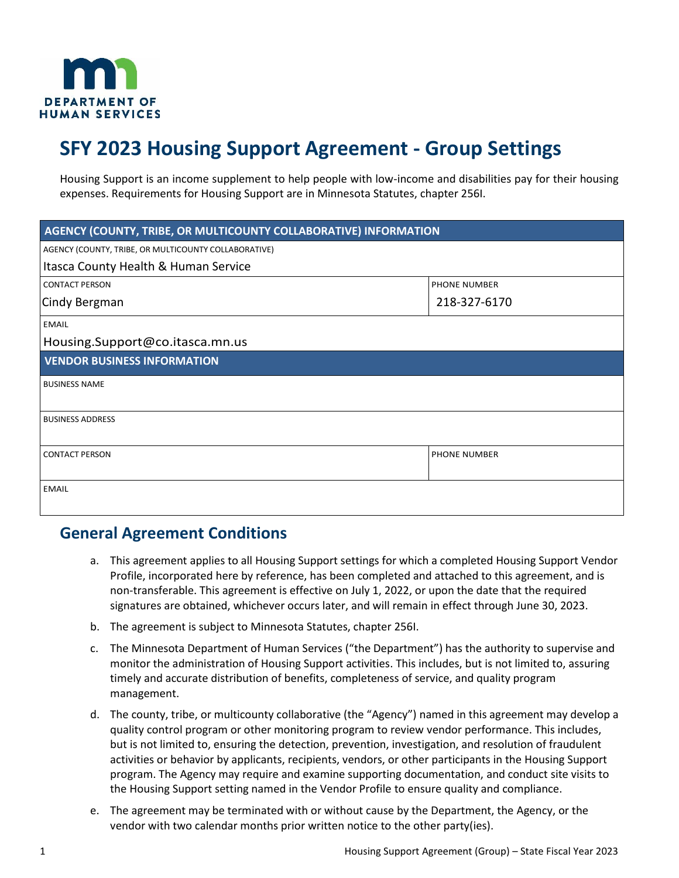

# **SFY 2023 Housing Support Agreement - Group Settings**

Housing Support is an income supplement to help people with low-income and disabilities pay for their housing expenses. Requirements for Housing Support are in Minnesota Statutes, chapter 256I.

| AGENCY (COUNTY, TRIBE, OR MULTICOUNTY COLLABORATIVE) INFORMATION |                     |  |
|------------------------------------------------------------------|---------------------|--|
| AGENCY (COUNTY, TRIBE, OR MULTICOUNTY COLLABORATIVE)             |                     |  |
| Itasca County Health & Human Service                             |                     |  |
| <b>CONTACT PERSON</b>                                            | <b>PHONE NUMBER</b> |  |
| Cindy Bergman                                                    | 218-327-6170        |  |
| <b>EMAIL</b>                                                     |                     |  |
| Housing.Support@co.itasca.mn.us                                  |                     |  |
| <b>VENDOR BUSINESS INFORMATION</b>                               |                     |  |
| <b>BUSINESS NAME</b>                                             |                     |  |
| <b>BUSINESS ADDRESS</b>                                          |                     |  |
| <b>CONTACT PERSON</b>                                            | <b>PHONE NUMBER</b> |  |
| <b>EMAIL</b>                                                     |                     |  |

#### **General Agreement Conditions**

- a. This agreement applies to all Housing Support settings for which a completed Housing Support Vendor Profile, incorporated here by reference, has been completed and attached to this agreement, and is non-transferable. This agreement is effective on July 1, 2022, or upon the date that the required signatures are obtained, whichever occurs later, and will remain in effect through June 30, 2023.
- b. The agreement is subject to Minnesota Statutes, chapter 256I.
- c. The Minnesota Department of Human Services ("the Department") has the authority to supervise and monitor the administration of Housing Support activities. This includes, but is not limited to, assuring timely and accurate distribution of benefits, completeness of service, and quality program management.
- d. The county, tribe, or multicounty collaborative (the "Agency") named in this agreement may develop a quality control program or other monitoring program to review vendor performance. This includes, but is not limited to, ensuring the detection, prevention, investigation, and resolution of fraudulent activities or behavior by applicants, recipients, vendors, or other participants in the Housing Support program. The Agency may require and examine supporting documentation, and conduct site visits to the Housing Support setting named in the Vendor Profile to ensure quality and compliance.
- e. The agreement may be terminated with or without cause by the Department, the Agency, or the vendor with two calendar months prior written notice to the other party(ies).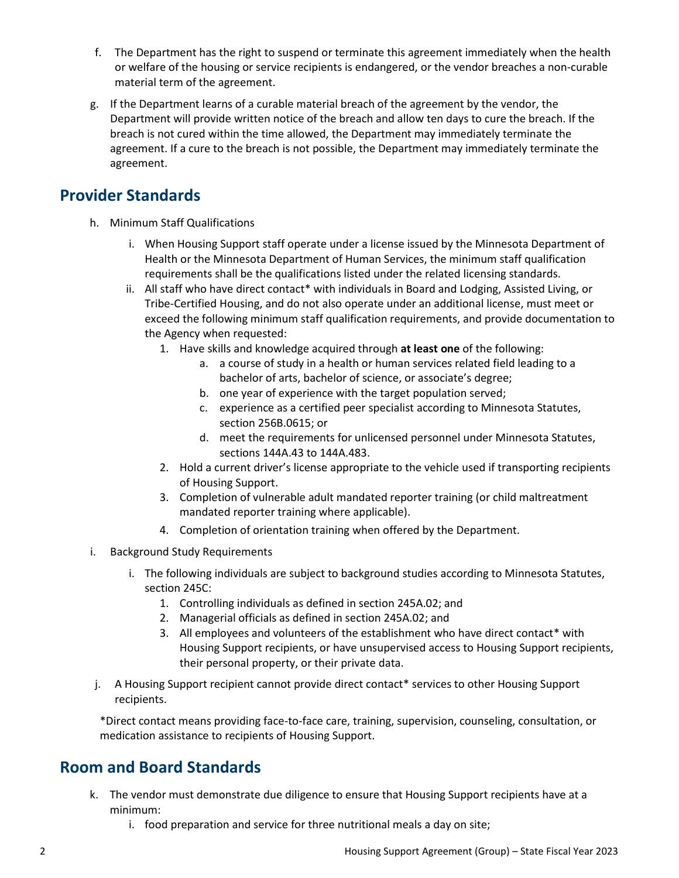- f. The Department has the right to suspend or terminate this agreement immediately when the health or welfare of the housing or service recipients is endangered, or the vendor breaches a non-curable material term of the agreement.
- g. If the Department learns of a curable material breach of the agreement by the vendor, the Department will provide written notice of the breach and allow ten days to cure the breach. If the breach is not cured within the time allowed, the Department may immediately terminate the agreement. If a cure to the breach is not possible, the Department may immediately terminate the agreement.

#### **Provider Standards**

- h. Minimum Staff Qualifications
	- i. When Housing Support staff operate under a license issued by the Minnesota Department of Health or the Minnesota Department of Human Services, the minimum staff qualification requirements shall be the qualifications listed under the related licensing standards.
	- ii. All staff who have direct contact\* with individuals in Board and Lodging, Assisted Living, or Tribe-Certified Housing, and do not also operate under an additional license, must meet or exceed the following minimum staff qualification requirements, and provide documentation to the Agency when requested:
		- 1. Have skills and knowledge acquired through **at least one** of the following:
			- a. a course of study in a health or human services related field leading to a bachelor of arts, bachelor of science, or associate's degree;
			- b. one year of experience with the target population served;
			- c. experience as a certified peer specialist according to Minnesota Statutes, section 256B.0615; or
			- d. meet the requirements for unlicensed personnel under Minnesota Statutes, sections 144A.43 to 144A.483.
		- 2. Hold a current driver's license appropriate to the vehicle used if transporting recipients of Housing Support.
		- 3. Completion of vulnerable adult mandated reporter training (or child maltreatment mandated reporter training where applicable).
		- 4. Completion of orientation training when offered by the Department.
- i. Background Study Requirements
	- i. The following individuals are subject to background studies according to Minnesota Statutes, section 245C:
		- 1. Controlling individuals as defined in section [245A.02;](https://www.revisor.mn.gov/statutes/?id=245A.02) and
		- 2. Managerial officials as defined in section [245A.02;](https://www.revisor.mn.gov/statutes/?id=245A.02) and
		- 3. All employees and volunteers of the establishment who have direct contact\* with Housing Support recipients, or have unsupervised access to Housing Support recipients, their personal property, or their private data.
- j. A Housing Support recipient cannot provide direct contact\* services to other Housing Support recipients.

\*Direct contact means providing face-to-face care, training, supervision, counseling, consultation, or medication assistance to recipients of Housing Support.

## **Room and Board Standards**

- k. The vendor must demonstrate due diligence to ensure that Housing Support recipients have at a minimum:
	- i. food preparation and service for three nutritional meals a day on site;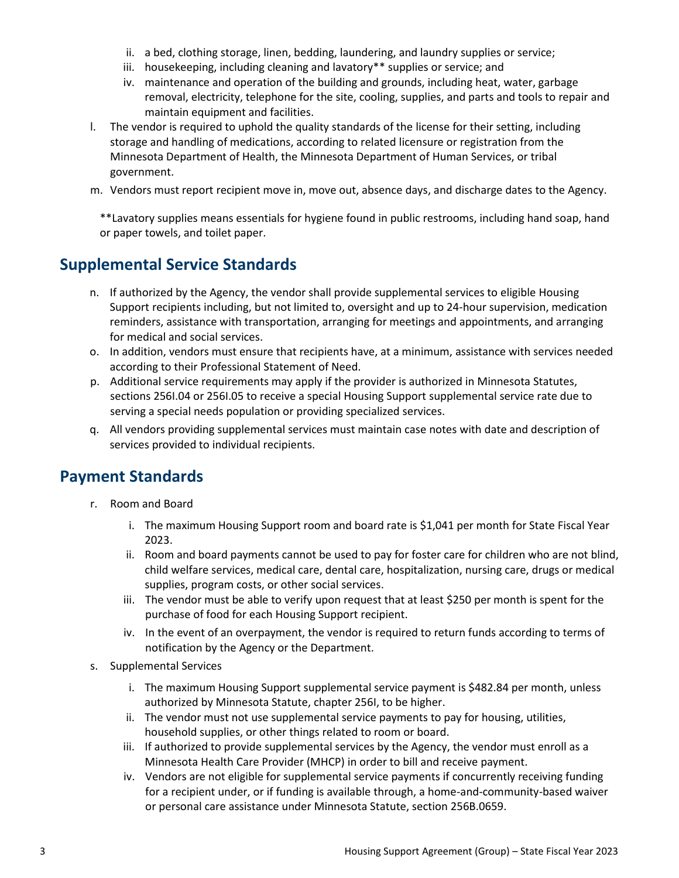- ii. a bed, clothing storage, linen, bedding, laundering, and laundry supplies or service;
- iii. housekeeping, including cleaning and lavatory\*\* supplies or service; and
- iv. maintenance and operation of the building and grounds, including heat, water, garbage removal, electricity, telephone for the site, cooling, supplies, and parts and tools to repair and maintain equipment and facilities.
- l. The vendor is required to uphold the quality standards of the license for their setting, including storage and handling of medications, according to related licensure or registration from the Minnesota Department of Health, the Minnesota Department of Human Services, or tribal government.
- m. Vendors must report recipient move in, move out, absence days, and discharge dates to the Agency.

\*\*Lavatory supplies means essentials for hygiene found in public restrooms, including hand soap, hand or paper towels, and toilet paper.

## **Supplemental Service Standards**

- n. If authorized by the Agency, the vendor shall provide supplemental services to eligible Housing Support recipients including, but not limited to, oversight and up to 24-hour supervision, medication reminders, assistance with transportation, arranging for meetings and appointments, and arranging for medical and social services.
- o. In addition, vendors must ensure that recipients have, at a minimum, assistance with services needed according to their Professional Statement of Need.
- p. Additional service requirements may apply if the provider is authorized in Minnesota Statutes, sections 256I.04 or 256I.05 to receive a special Housing Support supplemental service rate due to serving a special needs population or providing specialized services.
- q. All vendors providing supplemental services must maintain case notes with date and description of services provided to individual recipients.

## **Payment Standards**

- r. Room and Board
	- i. The maximum Housing Support room and board rate is \$1,041 per month for State Fiscal Year 2023.
	- ii. Room and board payments cannot be used to pay for foster care for children who are not blind, child welfare services, medical care, dental care, hospitalization, nursing care, drugs or medical supplies, program costs, or other social services.
	- iii. The vendor must be able to verify upon request that at least \$250 per month is spent for the purchase of food for each Housing Support recipient.
	- iv. In the event of an overpayment, the vendor is required to return funds according to terms of notification by the Agency or the Department.
- s. Supplemental Services
	- i. The maximum Housing Support supplemental service payment is \$482.84 per month, unless authorized by Minnesota Statute, chapter 256I, to be higher.
	- ii. The vendor must not use supplemental service payments to pay for housing, utilities, household supplies, or other things related to room or board.
	- iii. If authorized to provide supplemental services by the Agency, the vendor must enroll as a Minnesota Health Care Provider (MHCP) in order to bill and receive payment.
	- iv. Vendors are not eligible for supplemental service payments if concurrently receiving funding for a recipient under, or if funding is available through, a home-and-community-based waiver or personal care assistance under Minnesota Statute, section 256B.0659.